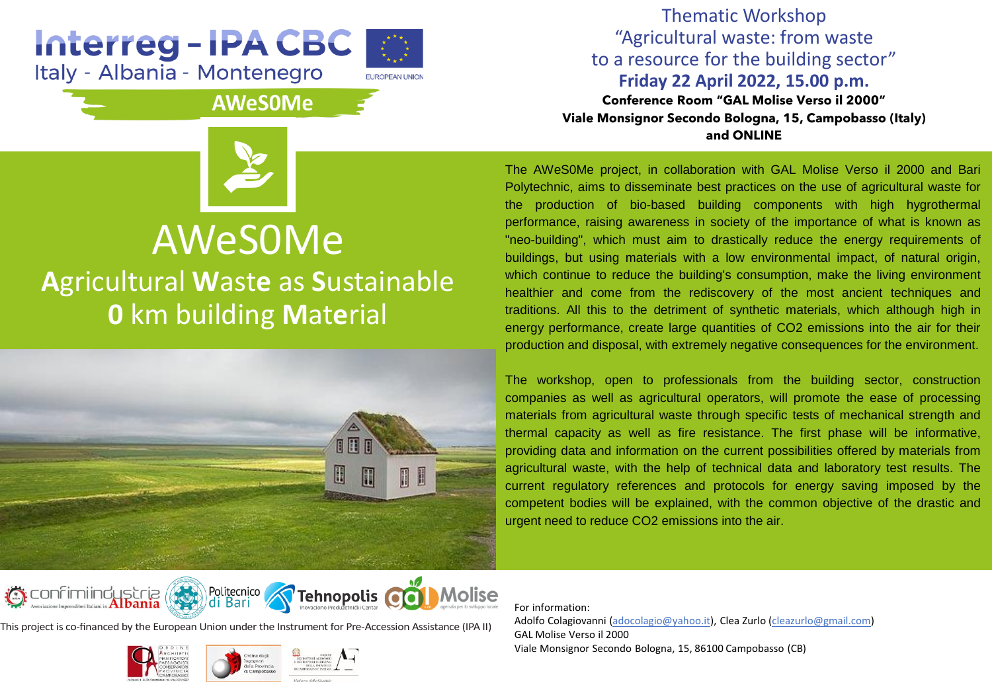## Interreg - IPA CBC Italy - Albania - Montenegro



## **AWeSOMe**



## AWeS0Me **A**gricultural **W**ast**e** as **S**ustainable **0** km building **M**at**e**rial



Thematic Workshop "Agricultural waste: from waste to a resource for the building sector" **Friday 22 April 2022, 15.00 p.m. Conference Room "GAL Molise Verso il 2000" Viale Monsignor Secondo Bologna, 15, Campobasso (Italy) and ONLINE**

The AWeS0Me project, in collaboration with GAL Molise Verso il 2000 and Bari Polytechnic, aims to disseminate best practices on the use of agricultural waste for the production of bio-based building components with high hygrothermal performance, raising awareness in society of the importance of what is known as "neo-building", which must aim to drastically reduce the energy requirements of buildings, but using materials with a low environmental impact, of natural origin, which continue to reduce the building's consumption, make the living environment healthier and come from the rediscovery of the most ancient techniques and traditions. All this to the detriment of synthetic materials, which although high in energy performance, create large quantities of CO2 emissions into the air for their production and disposal, with extremely negative consequences for the environment.

The workshop, open to professionals from the building sector, construction companies as well as agricultural operators, will promote the ease of processing materials from agricultural waste through specific tests of mechanical strength and thermal capacity as well as fire resistance. The first phase will be informative, providing data and information on the current possibilities offered by materials from agricultural waste, with the help of technical data and laboratory test results. The current regulatory references and protocols for energy saving imposed by the competent bodies will be explained, with the common objective of the drastic and urgent need to reduce CO2 emissions into the air.

Politecnico<br>| di Bari  $\bigcirc$  confiming ustria Tehnopolis CO **Molise** 

This project is co-financed by the European Union under the Instrument for Pre-Accession Assistance (IPA II)



For information: Adolfo Colagiovanni ([adocolagio@yahoo.it\)](mailto:adocolagio@yahoo.it), Clea Zurlo (cleazurlo@gmail.com) GAL Molise Verso il 2000 Viale Monsignor Secondo Bologna, 15, 86100 Campobasso (CB)